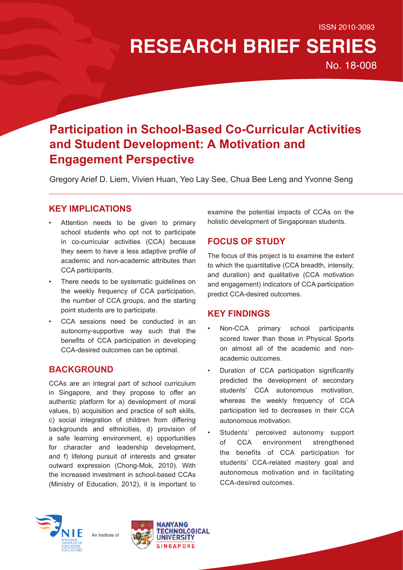# **RESEARCH BRIEF SERIES**

No. 18-008

# **Participation in School-Based Co-Curricular Activities and Student Development: A Motivation and Engagement Perspective**

Gregory Arief D. Liem, Vivien Huan, Yeo Lay See, Chua Bee Leng and Yvonne Seng

#### **KEY IMPLICATIONS**

- Attention needs to be given to primary school students who opt not to participate in co-curricular activities (CCA) because they seem to have a less adaptive profile of academic and non-academic attributes than CCA participants.
- There needs to be systematic guidelines on the weekly frequency of CCA participation, the number of CCA groups, and the starting point students are to participate.
- CCA sessions need be conducted in an autonomy-supportive way such that the benefits of CCA participation in developing CCA-desired outcomes can be optimal.

### **BACKGROUND**

CCAs are an integral part of school curriculum in Singapore, and they propose to offer an authentic platform for a) development of moral values, b) acquisition and practice of soft skills, c) social integration of children from differing backgrounds and ethnicities, d) provision of a safe learning environment, e) opportunities for character and leadership development, and f) lifelong pursuit of interests and greater outward expression (Chong-Mok, 2010). With the increased investment in school-based CCAs (Ministry of Education, 2012), it is important to

examine the potential impacts of CCAs on the holistic development of Singaporean students.

## **FOCUS OF STUDY**

The focus of this project is to examine the extent to which the quantitative (CCA breadth, intensity, and duration) and qualitative (CCA motivation and engagement) indicators of CCA participation predict CCA-desired outcomes.

#### **KEY FINDINGS**

- Non-CCA primary school participants scored lower than those in Physical Sports on almost all of the academic and nonacademic outcomes.
- Duration of CCA participation significantly predicted the development of secondary students' CCA autonomous motivation, whereas the weekly frequency of CCA participation led to decreases in their CCA autonomous motivation.
- Students' perceived autonomy support of CCA environment strengthened the benefits of CCA participation for students' CCA-related mastery goal and autonomous motivation and in facilitating CCA-desired outcomes.